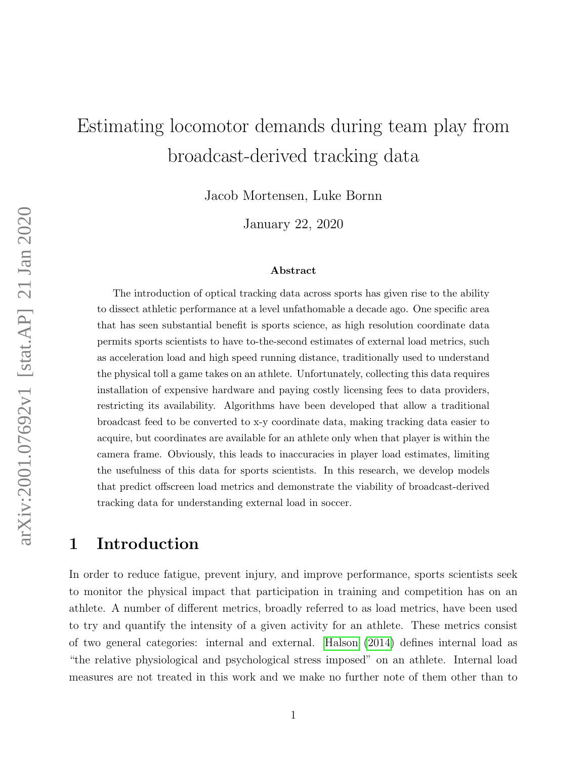# Estimating locomotor demands during team play from broadcast-derived tracking data

Jacob Mortensen, Luke Bornn

January 22, 2020

#### Abstract

The introduction of optical tracking data across sports has given rise to the ability to dissect athletic performance at a level unfathomable a decade ago. One specific area that has seen substantial benefit is sports science, as high resolution coordinate data permits sports scientists to have to-the-second estimates of external load metrics, such as acceleration load and high speed running distance, traditionally used to understand the physical toll a game takes on an athlete. Unfortunately, collecting this data requires installation of expensive hardware and paying costly licensing fees to data providers, restricting its availability. Algorithms have been developed that allow a traditional broadcast feed to be converted to x-y coordinate data, making tracking data easier to acquire, but coordinates are available for an athlete only when that player is within the camera frame. Obviously, this leads to inaccuracies in player load estimates, limiting the usefulness of this data for sports scientists. In this research, we develop models that predict offscreen load metrics and demonstrate the viability of broadcast-derived tracking data for understanding external load in soccer.

## 1 Introduction

In order to reduce fatigue, prevent injury, and improve performance, sports scientists seek to monitor the physical impact that participation in training and competition has on an athlete. A number of different metrics, broadly referred to as load metrics, have been used to try and quantify the intensity of a given activity for an athlete. These metrics consist of two general categories: internal and external. [Halson](#page-16-0) [\(2014\)](#page-16-0) defines internal load as "the relative physiological and psychological stress imposed" on an athlete. Internal load measures are not treated in this work and we make no further note of them other than to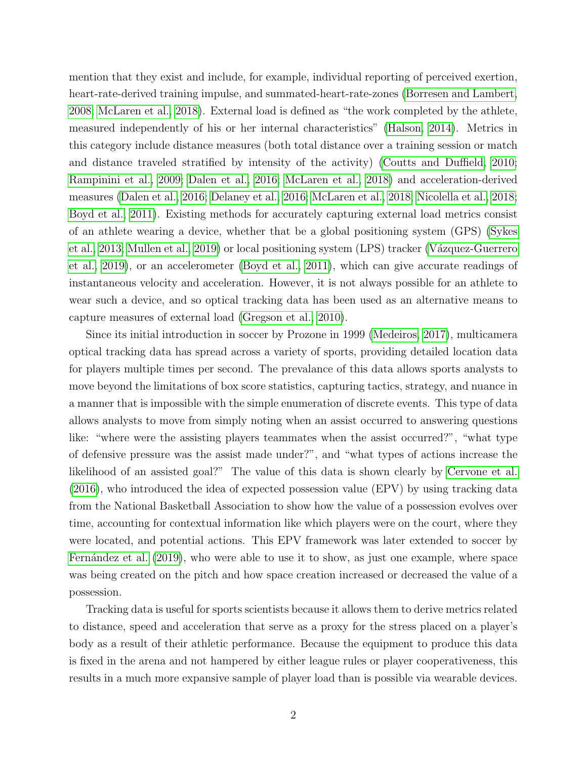mention that they exist and include, for example, individual reporting of perceived exertion, heart-rate-derived training impulse, and summated-heart-rate-zones [\(Borresen and Lambert,](#page-15-0) [2008;](#page-15-0) [McLaren et al., 2018\)](#page-16-1). External load is defined as "the work completed by the athlete, measured independently of his or her internal characteristics" [\(Halson, 2014\)](#page-16-0). Metrics in this category include distance measures (both total distance over a training session or match and distance traveled stratified by intensity of the activity) [\(Coutts and Duffield, 2010;](#page-15-1) [Rampinini et al., 2009;](#page-16-2) [Dalen et al., 2016;](#page-15-2) [McLaren et al., 2018\)](#page-16-1) and acceleration-derived measures [\(Dalen et al., 2016;](#page-15-2) [Delaney et al., 2016;](#page-15-3) [McLaren et al., 2018;](#page-16-1) [Nicolella et al., 2018;](#page-16-3) [Boyd et al., 2011\)](#page-15-4). Existing methods for accurately capturing external load metrics consist of an athlete wearing a device, whether that be a global positioning system (GPS) [\(Sykes](#page-17-0) [et al., 2013;](#page-17-0) [Mullen et al., 2019\)](#page-16-4) or local positioning system (LPS) tracker (Vázquez-Guerrero [et al., 2019\)](#page-17-1), or an accelerometer [\(Boyd et al., 2011\)](#page-15-4), which can give accurate readings of instantaneous velocity and acceleration. However, it is not always possible for an athlete to wear such a device, and so optical tracking data has been used as an alternative means to capture measures of external load [\(Gregson et al., 2010\)](#page-16-5).

Since its initial introduction in soccer by Prozone in 1999 [\(Medeiros, 2017\)](#page-16-6), multicamera optical tracking data has spread across a variety of sports, providing detailed location data for players multiple times per second. The prevalance of this data allows sports analysts to move beyond the limitations of box score statistics, capturing tactics, strategy, and nuance in a manner that is impossible with the simple enumeration of discrete events. This type of data allows analysts to move from simply noting when an assist occurred to answering questions like: "where were the assisting players teammates when the assist occurred?", "what type of defensive pressure was the assist made under?", and "what types of actions increase the likelihood of an assisted goal?" The value of this data is shown clearly by [Cervone et al.](#page-15-5) [\(2016\)](#page-15-5), who introduced the idea of expected possession value (EPV) by using tracking data from the National Basketball Association to show how the value of a possession evolves over time, accounting for contextual information like which players were on the court, where they were located, and potential actions. This EPV framework was later extended to soccer by Fernández et al. [\(2019\)](#page-15-6), who were able to use it to show, as just one example, where space was being created on the pitch and how space creation increased or decreased the value of a possession.

Tracking data is useful for sports scientists because it allows them to derive metrics related to distance, speed and acceleration that serve as a proxy for the stress placed on a player's body as a result of their athletic performance. Because the equipment to produce this data is fixed in the arena and not hampered by either league rules or player cooperativeness, this results in a much more expansive sample of player load than is possible via wearable devices.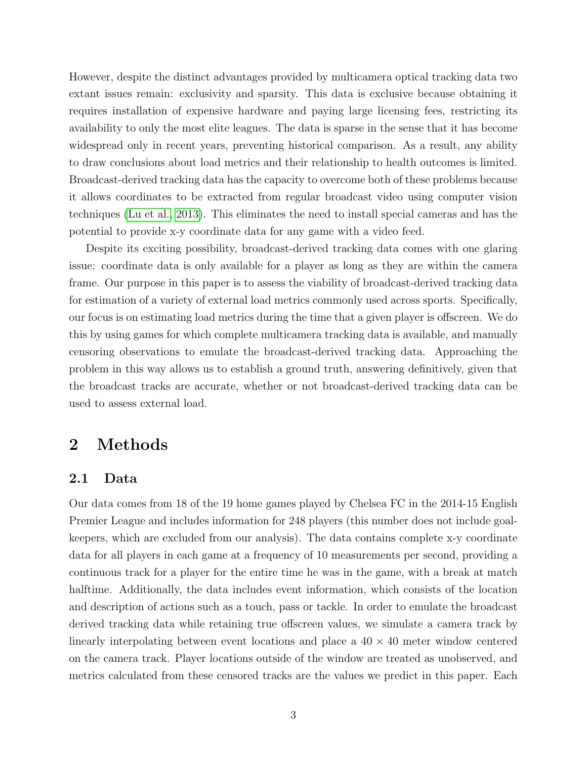However, despite the distinct advantages provided by multicamera optical tracking data two extant issues remain: exclusivity and sparsity. This data is exclusive because obtaining it requires installation of expensive hardware and paying large licensing fees, restricting its availability to only the most elite leagues. The data is sparse in the sense that it has become widespread only in recent years, preventing historical comparison. As a result, any ability to draw conclusions about load metrics and their relationship to health outcomes is limited. Broadcast-derived tracking data has the capacity to overcome both of these problems because it allows coordinates to be extracted from regular broadcast video using computer vision techniques [\(Lu et al., 2013\)](#page-16-7). This eliminates the need to install special cameras and has the potential to provide x-y coordinate data for any game with a video feed.

Despite its exciting possibility, broadcast-derived tracking data comes with one glaring issue: coordinate data is only available for a player as long as they are within the camera frame. Our purpose in this paper is to assess the viability of broadcast-derived tracking data for estimation of a variety of external load metrics commonly used across sports. Specifically, our focus is on estimating load metrics during the time that a given player is offscreen. We do this by using games for which complete multicamera tracking data is available, and manually censoring observations to emulate the broadcast-derived tracking data. Approaching the problem in this way allows us to establish a ground truth, answering definitively, given that the broadcast tracks are accurate, whether or not broadcast-derived tracking data can be used to assess external load.

## 2 Methods

### 2.1 Data

Our data comes from 18 of the 19 home games played by Chelsea FC in the 2014-15 English Premier League and includes information for 248 players (this number does not include goalkeepers, which are excluded from our analysis). The data contains complete x-y coordinate data for all players in each game at a frequency of 10 measurements per second, providing a continuous track for a player for the entire time he was in the game, with a break at match halftime. Additionally, the data includes event information, which consists of the location and description of actions such as a touch, pass or tackle. In order to emulate the broadcast derived tracking data while retaining true offscreen values, we simulate a camera track by linearly interpolating between event locations and place a  $40 \times 40$  meter window centered on the camera track. Player locations outside of the window are treated as unobserved, and metrics calculated from these censored tracks are the values we predict in this paper. Each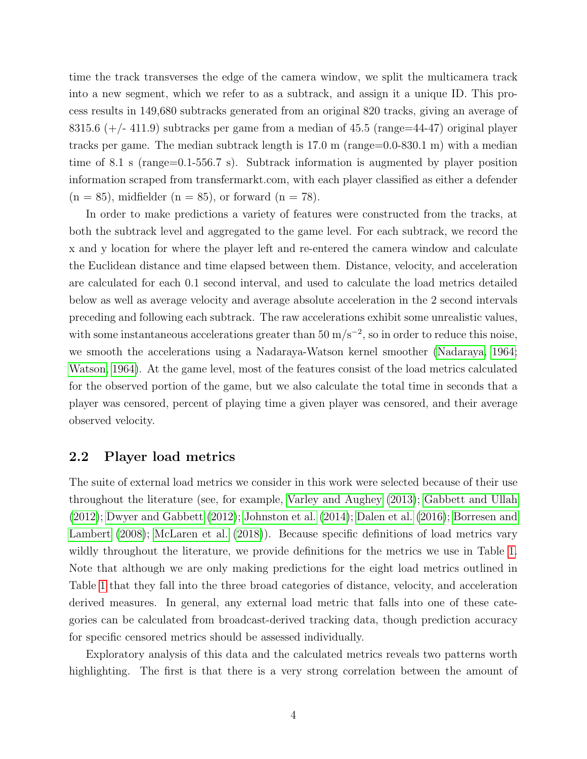time the track transverses the edge of the camera window, we split the multicamera track into a new segment, which we refer to as a subtrack, and assign it a unique ID. This process results in 149,680 subtracks generated from an original 820 tracks, giving an average of 8315.6  $(+/- 411.9)$  subtracks per game from a median of 45.5 (range=44-47) original player tracks per game. The median subtrack length is 17.0 m (range=0.0-830.1 m) with a median time of 8.1 s (range=0.1-556.7 s). Subtrack information is augmented by player position information scraped from transfermarkt.com, with each player classified as either a defender  $(n = 85)$ , midfielder  $(n = 85)$ , or forward  $(n = 78)$ .

In order to make predictions a variety of features were constructed from the tracks, at both the subtrack level and aggregated to the game level. For each subtrack, we record the x and y location for where the player left and re-entered the camera window and calculate the Euclidean distance and time elapsed between them. Distance, velocity, and acceleration are calculated for each 0.1 second interval, and used to calculate the load metrics detailed below as well as average velocity and average absolute acceleration in the 2 second intervals preceding and following each subtrack. The raw accelerations exhibit some unrealistic values, with some instantaneous accelerations greater than  $50 \text{ m/s}^{-2}$ , so in order to reduce this noise, we smooth the accelerations using a Nadaraya-Watson kernel smoother [\(Nadaraya, 1964;](#page-16-8) [Watson, 1964\)](#page-17-2). At the game level, most of the features consist of the load metrics calculated for the observed portion of the game, but we also calculate the total time in seconds that a player was censored, percent of playing time a given player was censored, and their average observed velocity.

#### <span id="page-3-0"></span>2.2 Player load metrics

The suite of external load metrics we consider in this work were selected because of their use throughout the literature (see, for example, [Varley and Aughey](#page-17-3) [\(2013\)](#page-17-3); [Gabbett and Ullah](#page-16-9) [\(2012\)](#page-16-9); [Dwyer and Gabbett](#page-15-7) [\(2012\)](#page-15-7); [Johnston et al.](#page-16-10) [\(2014\)](#page-16-10); [Dalen et al.](#page-15-2) [\(2016\)](#page-15-2); [Borresen and](#page-15-0) [Lambert](#page-15-0) [\(2008\)](#page-15-0); [McLaren et al.](#page-16-1) [\(2018\)](#page-16-1)). Because specific definitions of load metrics vary wildly throughout the literature, we provide definitions for the metrics we use in Table [1.](#page-5-0) Note that although we are only making predictions for the eight load metrics outlined in Table [1](#page-5-0) that they fall into the three broad categories of distance, velocity, and acceleration derived measures. In general, any external load metric that falls into one of these categories can be calculated from broadcast-derived tracking data, though prediction accuracy for specific censored metrics should be assessed individually.

Exploratory analysis of this data and the calculated metrics reveals two patterns worth highlighting. The first is that there is a very strong correlation between the amount of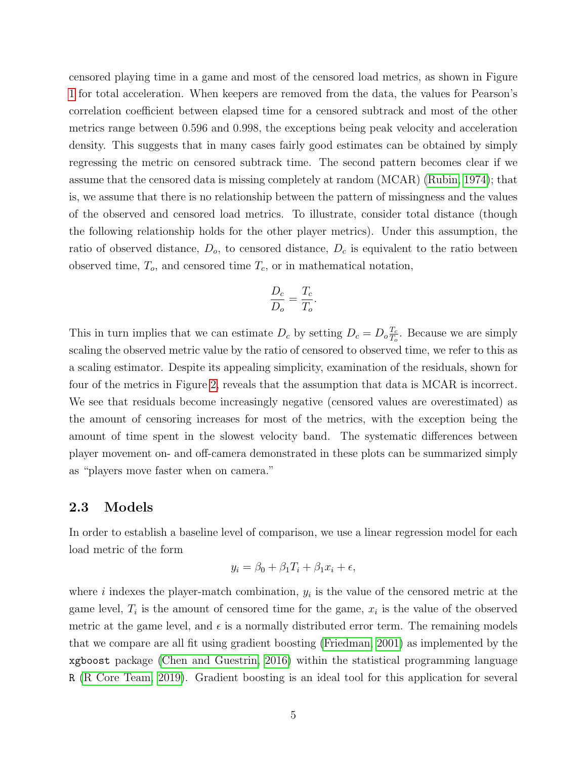censored playing time in a game and most of the censored load metrics, as shown in Figure [1](#page-6-0) for total acceleration. When keepers are removed from the data, the values for Pearson's correlation coefficient between elapsed time for a censored subtrack and most of the other metrics range between 0.596 and 0.998, the exceptions being peak velocity and acceleration density. This suggests that in many cases fairly good estimates can be obtained by simply regressing the metric on censored subtrack time. The second pattern becomes clear if we assume that the censored data is missing completely at random (MCAR) [\(Rubin, 1974\)](#page-17-4); that is, we assume that there is no relationship between the pattern of missingness and the values of the observed and censored load metrics. To illustrate, consider total distance (though the following relationship holds for the other player metrics). Under this assumption, the ratio of observed distance,  $D<sub>o</sub>$ , to censored distance,  $D<sub>c</sub>$  is equivalent to the ratio between observed time,  $T<sub>o</sub>$ , and censored time  $T<sub>c</sub>$ , or in mathematical notation,

$$
\frac{D_c}{D_o} = \frac{T_c}{T_o}.
$$

This in turn implies that we can estimate  $D_c$  by setting  $D_c = D_o \frac{T_c}{T_c}$  $\frac{T_c}{T_o}$ . Because we are simply scaling the observed metric value by the ratio of censored to observed time, we refer to this as a scaling estimator. Despite its appealing simplicity, examination of the residuals, shown for four of the metrics in Figure [2,](#page-7-0) reveals that the assumption that data is MCAR is incorrect. We see that residuals become increasingly negative (censored values are overestimated) as the amount of censoring increases for most of the metrics, with the exception being the amount of time spent in the slowest velocity band. The systematic differences between player movement on- and off-camera demonstrated in these plots can be summarized simply as "players move faster when on camera."

#### 2.3 Models

In order to establish a baseline level of comparison, we use a linear regression model for each load metric of the form

$$
y_i = \beta_0 + \beta_1 T_i + \beta_1 x_i + \epsilon,
$$

where  $i$  indexes the player-match combination,  $y_i$  is the value of the censored metric at the game level,  $T_i$  is the amount of censored time for the game,  $x_i$  is the value of the observed metric at the game level, and  $\epsilon$  is a normally distributed error term. The remaining models that we compare are all fit using gradient boosting [\(Friedman, 2001\)](#page-15-8) as implemented by the xgboost package [\(Chen and Guestrin, 2016\)](#page-15-9) within the statistical programming language R [\(R Core Team, 2019\)](#page-16-11). Gradient boosting is an ideal tool for this application for several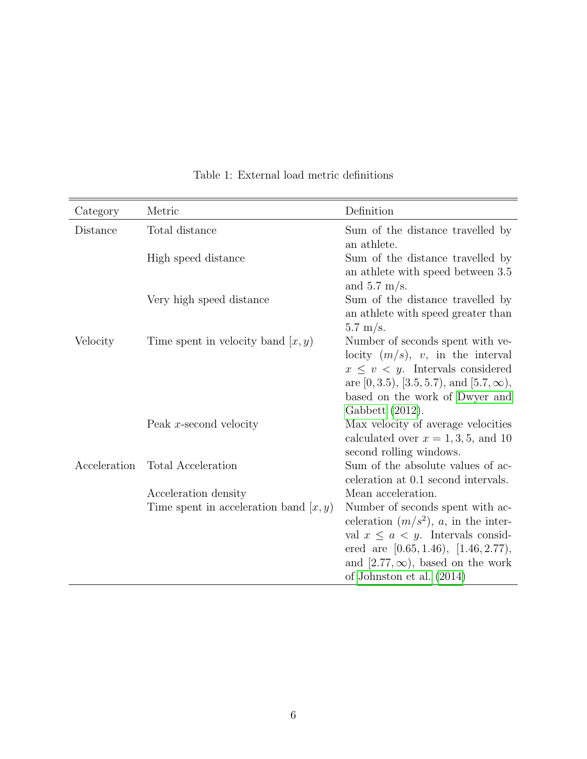<span id="page-5-0"></span>

| Category     | Metric                                   | Definition                                                                                                                                                                                                                                |
|--------------|------------------------------------------|-------------------------------------------------------------------------------------------------------------------------------------------------------------------------------------------------------------------------------------------|
| Distance     | Total distance                           | Sum of the distance travelled by<br>an athlete.                                                                                                                                                                                           |
|              | High speed distance                      | Sum of the distance travelled by<br>an athlete with speed between 3.5<br>and $5.7 \text{ m/s}$ .                                                                                                                                          |
|              | Very high speed distance                 | Sum of the distance travelled by<br>an athlete with speed greater than<br>$5.7 \text{ m/s}.$                                                                                                                                              |
| Velocity     | Time spent in velocity band $(x, y)$     | Number of seconds spent with ve-<br>locity $(m/s)$ , v, in the interval<br>$x \leq v \leq y$ . Intervals considered<br>are $[0, 3.5), [3.5, 5.7),$ and $[5.7, \infty),$<br>based on the work of Dwyer and<br>Gabbett $(2012)$ .           |
|              | Peak $x$ -second velocity                | Max velocity of average velocities<br>calculated over $x = 1, 3, 5$ , and 10<br>second rolling windows.                                                                                                                                   |
| Acceleration | Total Acceleration                       | Sum of the absolute values of ac-<br>celeration at 0.1 second intervals.                                                                                                                                                                  |
|              | Acceleration density                     | Mean acceleration.                                                                                                                                                                                                                        |
|              | Time spent in acceleration band $(x, y)$ | Number of seconds spent with ac-<br>celeration $(m/s^2)$ , a, in the inter-<br>val $x \leq a < y$ . Intervals consid-<br>ered are $[0.65, 1.46), [1.46, 2.77),$<br>and $[2.77,\infty)$ , based on the work<br>of Johnston et al. $(2014)$ |

Table 1: External load metric definitions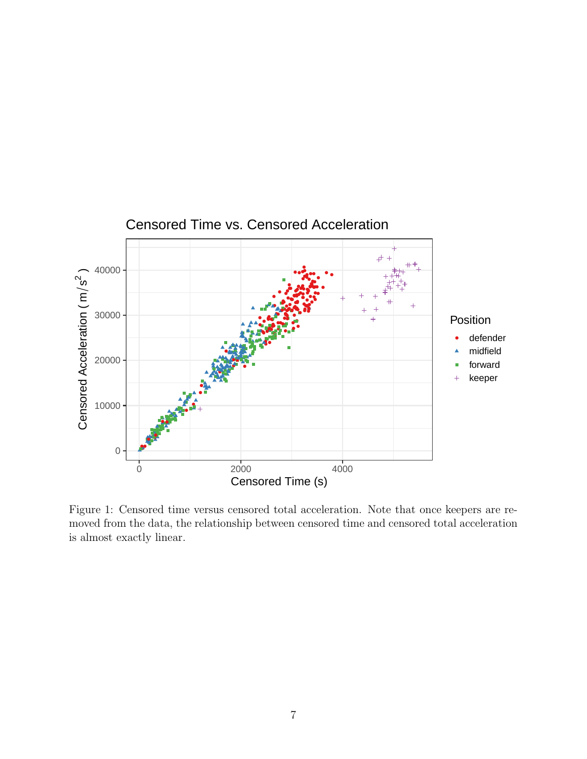<span id="page-6-0"></span>

Figure 1: Censored time versus censored total acceleration. Note that once keepers are removed from the data, the relationship between censored time and censored total acceleration is almost exactly linear.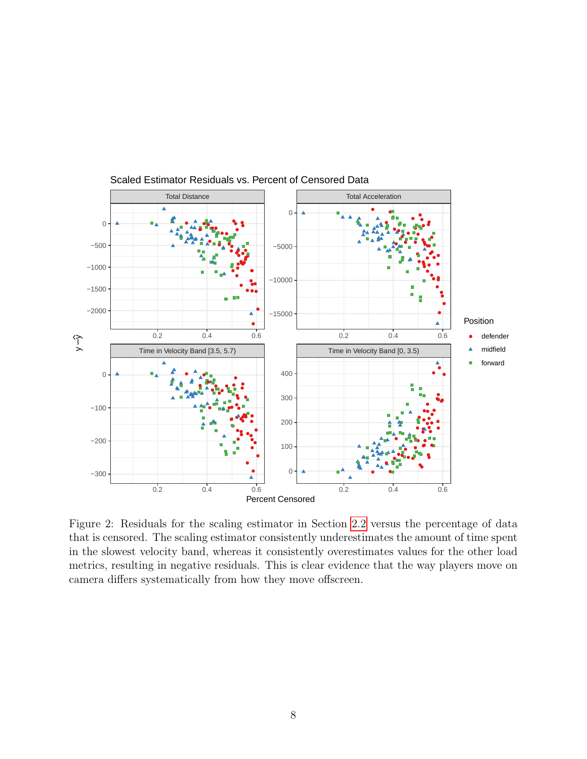<span id="page-7-0"></span>

Scaled Estimator Residuals vs. Percent of Censored Data

Figure 2: Residuals for the scaling estimator in Section [2.2](#page-3-0) versus the percentage of data that is censored. The scaling estimator consistently underestimates the amount of time spent in the slowest velocity band, whereas it consistently overestimates values for the other load metrics, resulting in negative residuals. This is clear evidence that the way players move on camera differs systematically from how they move offscreen.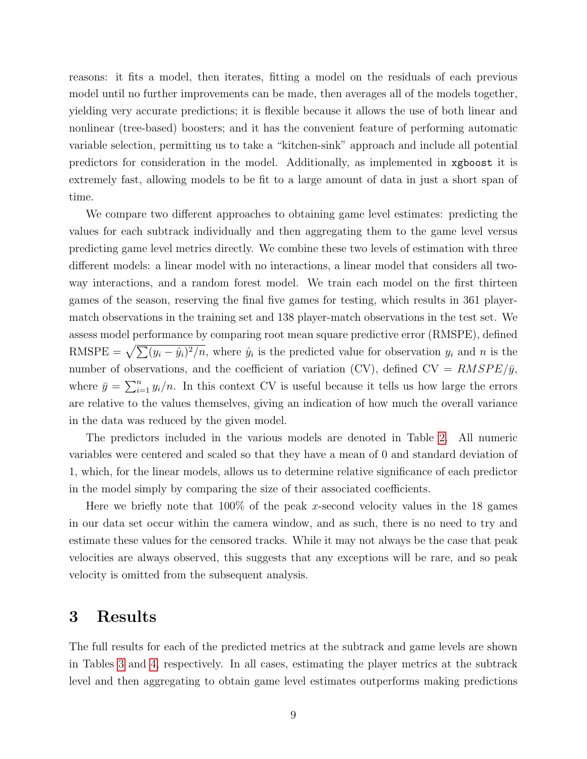reasons: it fits a model, then iterates, fitting a model on the residuals of each previous model until no further improvements can be made, then averages all of the models together, yielding very accurate predictions; it is flexible because it allows the use of both linear and nonlinear (tree-based) boosters; and it has the convenient feature of performing automatic variable selection, permitting us to take a "kitchen-sink" approach and include all potential predictors for consideration in the model. Additionally, as implemented in xgboost it is extremely fast, allowing models to be fit to a large amount of data in just a short span of time.

We compare two different approaches to obtaining game level estimates: predicting the values for each subtrack individually and then aggregating them to the game level versus predicting game level metrics directly. We combine these two levels of estimation with three different models: a linear model with no interactions, a linear model that considers all twoway interactions, and a random forest model. We train each model on the first thirteen games of the season, reserving the final five games for testing, which results in 361 playermatch observations in the training set and 138 player-match observations in the test set. We assess model performance by comparing root mean square predictive error (RMSPE), defined RMSPE =  $\sqrt{\sum (y_i - \hat{y}_i)^2/n}$ , where  $\hat{y}_i$  is the predicted value for observation  $y_i$  and n is the number of observations, and the coefficient of variation (CV), defined  $CV = RMSPE/\bar{y}$ , where  $\bar{y} = \sum_{i=1}^{n} y_i/n$ . In this context CV is useful because it tells us how large the errors are relative to the values themselves, giving an indication of how much the overall variance in the data was reduced by the given model.

The predictors included in the various models are denoted in Table [2.](#page-9-0) All numeric variables were centered and scaled so that they have a mean of 0 and standard deviation of 1, which, for the linear models, allows us to determine relative significance of each predictor in the model simply by comparing the size of their associated coefficients.

Here we briefly note that  $100\%$  of the peak x-second velocity values in the 18 games in our data set occur within the camera window, and as such, there is no need to try and estimate these values for the censored tracks. While it may not always be the case that peak velocities are always observed, this suggests that any exceptions will be rare, and so peak velocity is omitted from the subsequent analysis.

## 3 Results

The full results for each of the predicted metrics at the subtrack and game levels are shown in Tables [3](#page-13-0) and [4,](#page-14-0) respectively. In all cases, estimating the player metrics at the subtrack level and then aggregating to obtain game level estimates outperforms making predictions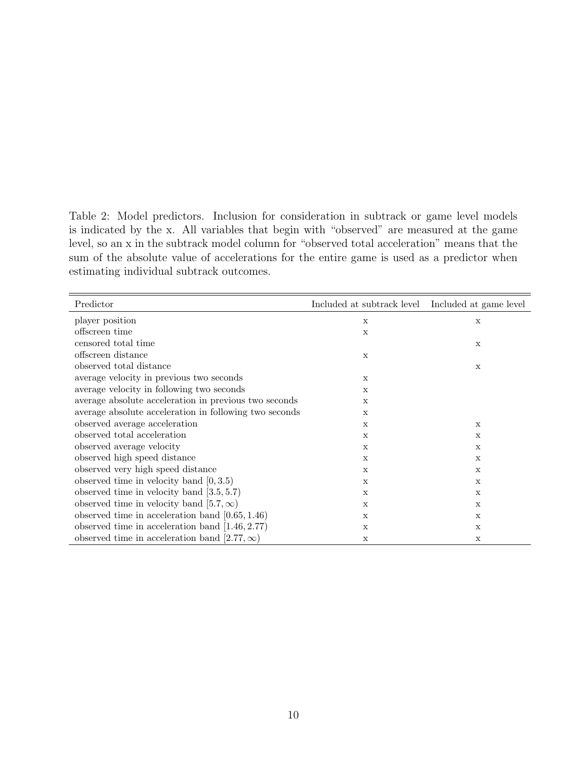<span id="page-9-0"></span>Table 2: Model predictors. Inclusion for consideration in subtrack or game level models is indicated by the x. All variables that begin with "observed" are measured at the game level, so an x in the subtrack model column for "observed total acceleration" means that the sum of the absolute value of accelerations for the entire game is used as a predictor when estimating individual subtrack outcomes.

| Predictor                                              | Included at subtrack level Included at game level |             |
|--------------------------------------------------------|---------------------------------------------------|-------------|
| player position                                        | $\mathbf X$                                       | X           |
| offscreen time                                         | $\mathbf x$                                       |             |
| censored total time                                    |                                                   | $\mathbf X$ |
| offscreen distance                                     | $\mathbf x$                                       |             |
| observed total distance                                |                                                   | X           |
| average velocity in previous two seconds               | $\mathbf x$                                       |             |
| average velocity in following two seconds              | $\mathbf x$                                       |             |
| average absolute acceleration in previous two seconds  | X                                                 |             |
| average absolute acceleration in following two seconds | $\mathbf x$                                       |             |
| observed average acceleration                          | X                                                 | X           |
| observed total acceleration                            | $\mathbf x$                                       | X           |
| observed average velocity                              | X                                                 | X           |
| observed high speed distance                           | $\mathbf x$                                       | X           |
| observed very high speed distance                      | $\mathbf x$                                       | $\mathbf X$ |
| observed time in velocity band $[0, 3.5)$              | X                                                 | X           |
| observed time in velocity band $[3.5, 5.7]$            | X                                                 | X           |
| observed time in velocity band [5.7, $\infty$ )        | X                                                 | $\mathbf X$ |
| observed time in acceleration band $[0.65, 1.46)$      | X                                                 | X           |
| observed time in acceleration band $[1.46, 2.77]$      | X                                                 | X           |
| observed time in acceleration band [2.77, $\infty$ )   | X                                                 | X           |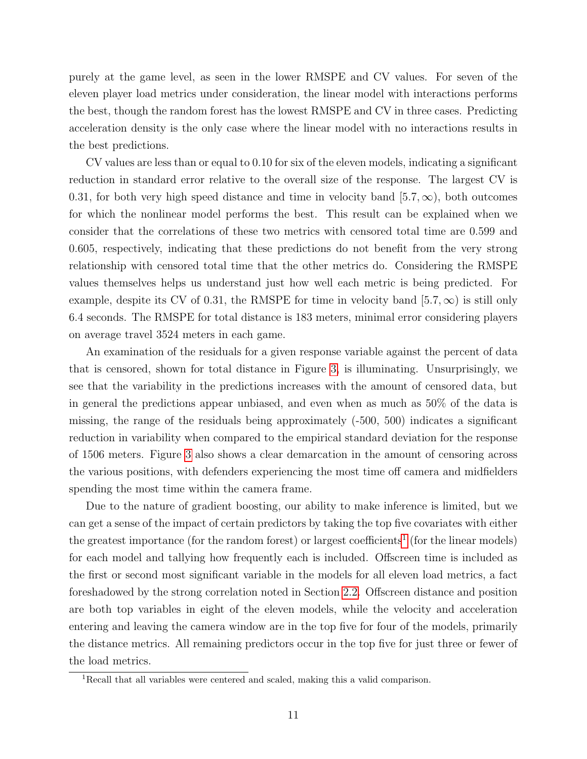purely at the game level, as seen in the lower RMSPE and CV values. For seven of the eleven player load metrics under consideration, the linear model with interactions performs the best, though the random forest has the lowest RMSPE and CV in three cases. Predicting acceleration density is the only case where the linear model with no interactions results in the best predictions.

CV values are less than or equal to 0.10 for six of the eleven models, indicating a significant reduction in standard error relative to the overall size of the response. The largest CV is 0.31, for both very high speed distance and time in velocity band [5.7, $\infty$ ), both outcomes for which the nonlinear model performs the best. This result can be explained when we consider that the correlations of these two metrics with censored total time are 0.599 and 0.605, respectively, indicating that these predictions do not benefit from the very strong relationship with censored total time that the other metrics do. Considering the RMSPE values themselves helps us understand just how well each metric is being predicted. For example, despite its CV of 0.31, the RMSPE for time in velocity band  $[5.7, \infty)$  is still only 6.4 seconds. The RMSPE for total distance is 183 meters, minimal error considering players on average travel 3524 meters in each game.

An examination of the residuals for a given response variable against the percent of data that is censored, shown for total distance in Figure [3,](#page-11-0) is illuminating. Unsurprisingly, we see that the variability in the predictions increases with the amount of censored data, but in general the predictions appear unbiased, and even when as much as 50% of the data is missing, the range of the residuals being approximately (-500, 500) indicates a significant reduction in variability when compared to the empirical standard deviation for the response of 1506 meters. Figure [3](#page-11-0) also shows a clear demarcation in the amount of censoring across the various positions, with defenders experiencing the most time off camera and midfielders spending the most time within the camera frame.

Due to the nature of gradient boosting, our ability to make inference is limited, but we can get a sense of the impact of certain predictors by taking the top five covariates with either the greatest importance (for the random forest) or largest coefficients<sup>[1](#page-10-0)</sup> (for the linear models) for each model and tallying how frequently each is included. Offscreen time is included as the first or second most significant variable in the models for all eleven load metrics, a fact foreshadowed by the strong correlation noted in Section [2.2.](#page-3-0) Offscreen distance and position are both top variables in eight of the eleven models, while the velocity and acceleration entering and leaving the camera window are in the top five for four of the models, primarily the distance metrics. All remaining predictors occur in the top five for just three or fewer of the load metrics.

<span id="page-10-0"></span><sup>1</sup>Recall that all variables were centered and scaled, making this a valid comparison.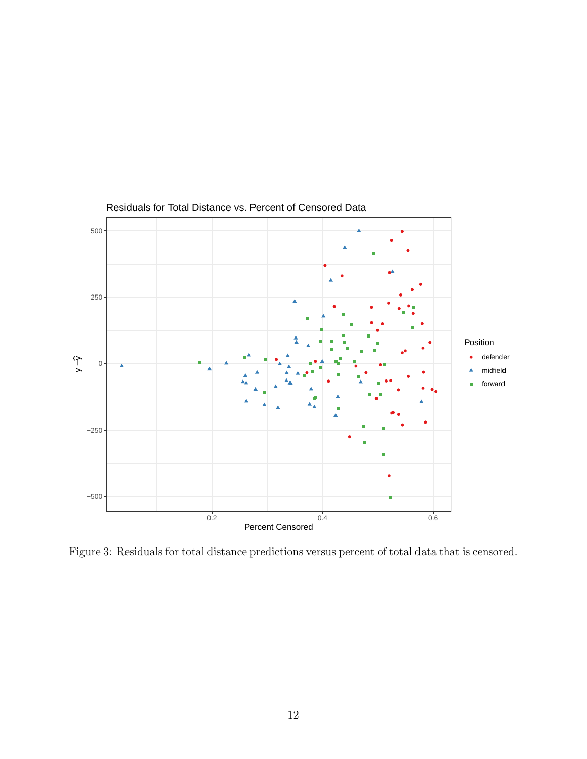<span id="page-11-0"></span>

Residuals for Total Distance vs. Percent of Censored Data

Figure 3: Residuals for total distance predictions versus percent of total data that is censored.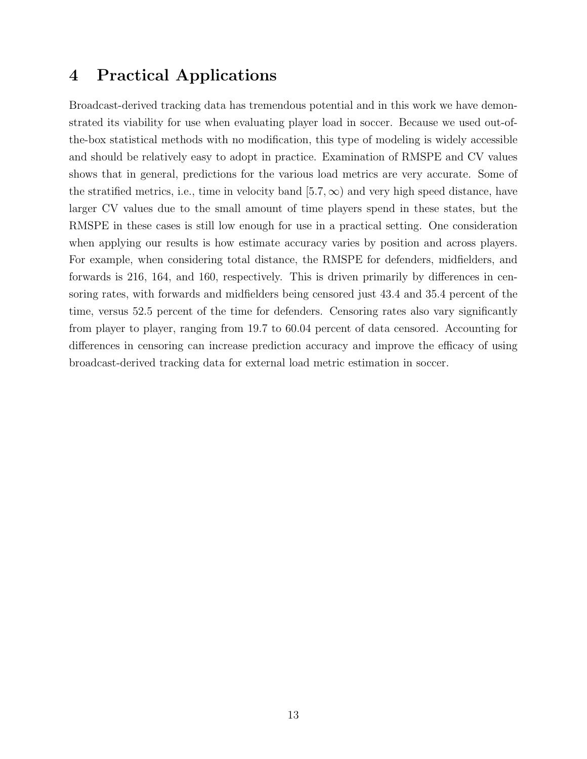## 4 Practical Applications

Broadcast-derived tracking data has tremendous potential and in this work we have demonstrated its viability for use when evaluating player load in soccer. Because we used out-ofthe-box statistical methods with no modification, this type of modeling is widely accessible and should be relatively easy to adopt in practice. Examination of RMSPE and CV values shows that in general, predictions for the various load metrics are very accurate. Some of the stratified metrics, i.e., time in velocity band  $[5.7,\infty)$  and very high speed distance, have larger CV values due to the small amount of time players spend in these states, but the RMSPE in these cases is still low enough for use in a practical setting. One consideration when applying our results is how estimate accuracy varies by position and across players. For example, when considering total distance, the RMSPE for defenders, midfielders, and forwards is 216, 164, and 160, respectively. This is driven primarily by differences in censoring rates, with forwards and midfielders being censored just 43.4 and 35.4 percent of the time, versus 52.5 percent of the time for defenders. Censoring rates also vary significantly from player to player, ranging from 19.7 to 60.04 percent of data censored. Accounting for differences in censoring can increase prediction accuracy and improve the efficacy of using broadcast-derived tracking data for external load metric estimation in soccer.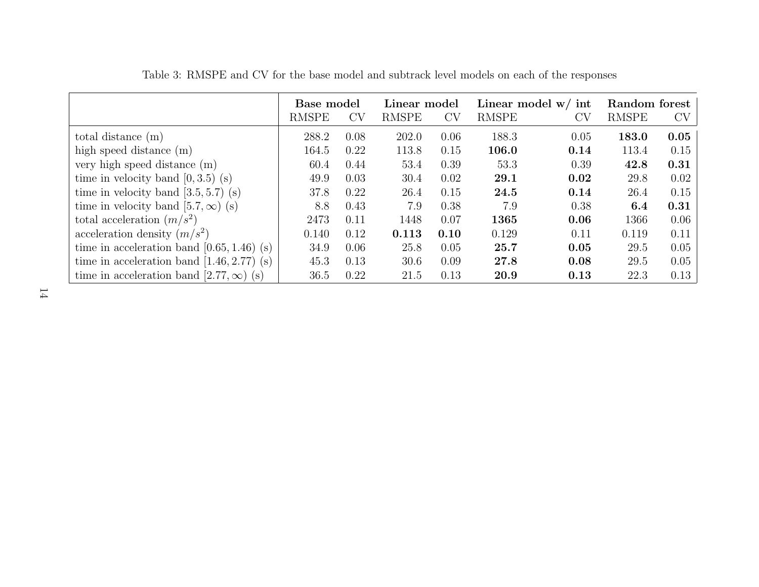<span id="page-13-0"></span>

|                                                 | Base model   |      | Linear model |           | Linear model $w/$ int |           | Random forest |           |
|-------------------------------------------------|--------------|------|--------------|-----------|-----------------------|-----------|---------------|-----------|
|                                                 | <b>RMSPE</b> | CV   | <b>RMSPE</b> | <b>CV</b> | <b>RMSPE</b>          | <b>CV</b> | <b>RMSPE</b>  | $CV \mid$ |
| total distance $(m)$                            | 288.2        | 0.08 | 202.0        | 0.06      | 188.3                 | 0.05      | 183.0         | 0.05      |
| high speed distance (m)                         | 164.5        | 0.22 | 113.8        | 0.15      | 106.0                 | 0.14      | 113.4         | 0.15      |
| very high speed distance $(m)$                  | 60.4         | 0.44 | 53.4         | 0.39      | 53.3                  | 0.39      | 42.8          | 0.31      |
| time in velocity band $[0, 3.5)$ (s)            | 49.9         | 0.03 | 30.4         | 0.02      | 29.1                  | 0.02      | 29.8          | 0.02      |
| time in velocity band $[3.5, 5.7)$ (s)          | 37.8         | 0.22 | 26.4         | 0.15      | 24.5                  | 0.14      | 26.4          | 0.15      |
| time in velocity band [5.7, $\infty$ ) (s)      | 8.8          | 0.43 | 7.9          | 0.38      | 7.9                   | 0.38      | 6.4           | 0.31      |
| total acceleration $(m/s^2)$                    | 2473         | 0.11 | 1448         | 0.07      | 1365                  | 0.06      | 1366          | 0.06      |
| acceleration density $(m/s^2)$                  | 0.140        | 0.12 | 0.113        | 0.10      | 0.129                 | 0.11      | 0.119         | 0.11      |
| time in acceleration band $[0.65, 1.46)$ (s)    | 34.9         | 0.06 | 25.8         | 0.05      | 25.7                  | 0.05      | 29.5          | 0.05      |
| time in acceleration band $[1.46, 2.77)$ (s)    | 45.3         | 0.13 | 30.6         | 0.09      | 27.8                  | 0.08      | 29.5          | 0.05      |
| time in acceleration band [2.77, $\infty$ ) (s) | 36.5         | 0.22 | 21.5         | 0.13      | 20.9                  | 0.13      | 22.3          | 0.13      |

Table 3: RMSPE and CV for the base model and subtrack level models on each of the responses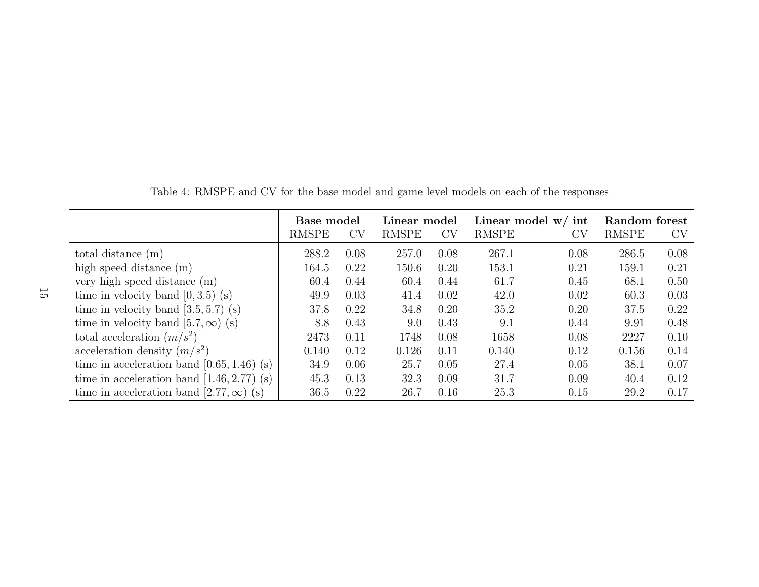<span id="page-14-0"></span>

|                                                 | Base model   |           | Linear model |      | Linear model $w/$ int |               | Random forest |      |
|-------------------------------------------------|--------------|-----------|--------------|------|-----------------------|---------------|---------------|------|
|                                                 | <b>RMSPE</b> | <b>CV</b> | <b>RMSPE</b> | CV   | <b>RMSPE</b>          | $\mathrm{CV}$ | <b>RMSPE</b>  | CV   |
| total distance $(m)$                            | 288.2        | 0.08      | 257.0        | 0.08 | 267.1                 | 0.08          | 286.5         | 0.08 |
| high speed distance $(m)$                       | 164.5        | 0.22      | 150.6        | 0.20 | 153.1                 | 0.21          | 159.1         | 0.21 |
| very high speed distance $(m)$                  | 60.4         | 0.44      | 60.4         | 0.44 | 61.7                  | 0.45          | 68.1          | 0.50 |
| time in velocity band $[0, 3.5)$ (s)            | 49.9         | 0.03      | 41.4         | 0.02 | 42.0                  | 0.02          | 60.3          | 0.03 |
| time in velocity band $[3.5, 5.7)$ (s)          | 37.8         | 0.22      | 34.8         | 0.20 | 35.2                  | 0.20          | 37.5          | 0.22 |
| time in velocity band [5.7, $\infty$ ) (s)      | 8.8          | 0.43      | 9.0          | 0.43 | 9.1                   | 0.44          | 9.91          | 0.48 |
| total acceleration $(m/s^2)$                    | 2473         | 0.11      | 1748         | 0.08 | 1658                  | 0.08          | 2227          | 0.10 |
| acceleration density $(m/s^2)$                  | 0.140        | 0.12      | 0.126        | 0.11 | 0.140                 | 0.12          | 0.156         | 0.14 |
| time in acceleration band $[0.65, 1.46)$ (s)    | 34.9         | 0.06      | 25.7         | 0.05 | 27.4                  | 0.05          | 38.1          | 0.07 |
| time in acceleration band $[1.46, 2.77)$ (s)    | 45.3         | 0.13      | 32.3         | 0.09 | 31.7                  | 0.09          | 40.4          | 0.12 |
| time in acceleration band [2.77, $\infty$ ) (s) | 36.5         | 0.22      | 26.7         | 0.16 | 25.3                  | 0.15          | 29.2          | 0.17 |

Table 4: RMSPE and CV for the base model and game level models on each of the responses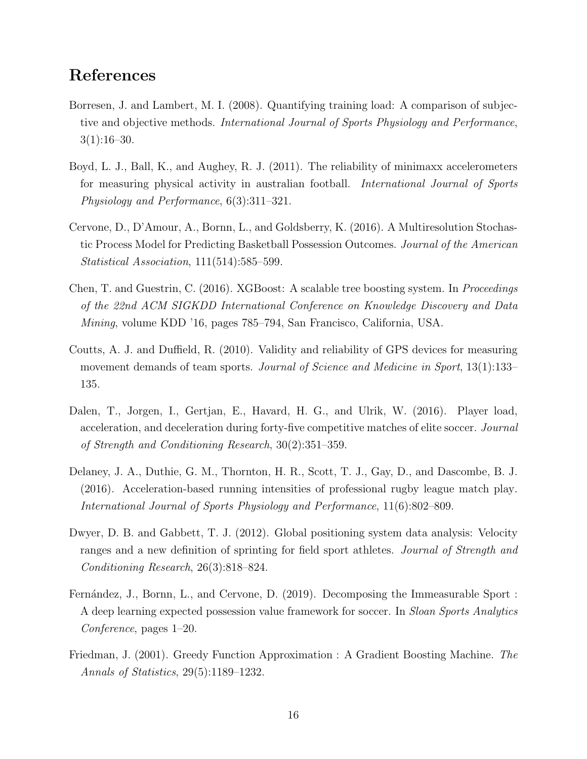## References

- <span id="page-15-0"></span>Borresen, J. and Lambert, M. I. (2008). Quantifying training load: A comparison of subjective and objective methods. International Journal of Sports Physiology and Performance,  $3(1):16-30.$
- <span id="page-15-4"></span>Boyd, L. J., Ball, K., and Aughey, R. J. (2011). The reliability of minimaxx accelerometers for measuring physical activity in australian football. International Journal of Sports Physiology and Performance, 6(3):311–321.
- <span id="page-15-5"></span>Cervone, D., D'Amour, A., Bornn, L., and Goldsberry, K. (2016). A Multiresolution Stochastic Process Model for Predicting Basketball Possession Outcomes. Journal of the American Statistical Association, 111(514):585–599.
- <span id="page-15-9"></span>Chen, T. and Guestrin, C. (2016). XGBoost: A scalable tree boosting system. In Proceedings of the 22nd ACM SIGKDD International Conference on Knowledge Discovery and Data Mining, volume KDD '16, pages 785–794, San Francisco, California, USA.
- <span id="page-15-1"></span>Coutts, A. J. and Duffield, R. (2010). Validity and reliability of GPS devices for measuring movement demands of team sports. Journal of Science and Medicine in Sport, 13(1):133– 135.
- <span id="page-15-2"></span>Dalen, T., Jorgen, I., Gertjan, E., Havard, H. G., and Ulrik, W. (2016). Player load, acceleration, and deceleration during forty-five competitive matches of elite soccer. Journal of Strength and Conditioning Research, 30(2):351–359.
- <span id="page-15-3"></span>Delaney, J. A., Duthie, G. M., Thornton, H. R., Scott, T. J., Gay, D., and Dascombe, B. J. (2016). Acceleration-based running intensities of professional rugby league match play. International Journal of Sports Physiology and Performance, 11(6):802–809.
- <span id="page-15-7"></span>Dwyer, D. B. and Gabbett, T. J. (2012). Global positioning system data analysis: Velocity ranges and a new definition of sprinting for field sport athletes. Journal of Strength and Conditioning Research, 26(3):818–824.
- <span id="page-15-6"></span>Fernández, J., Bornn, L., and Cervone, D. (2019). Decomposing the Immeasurable Sport : A deep learning expected possession value framework for soccer. In Sloan Sports Analytics Conference, pages 1–20.
- <span id="page-15-8"></span>Friedman, J. (2001). Greedy Function Approximation : A Gradient Boosting Machine. The Annals of Statistics, 29(5):1189–1232.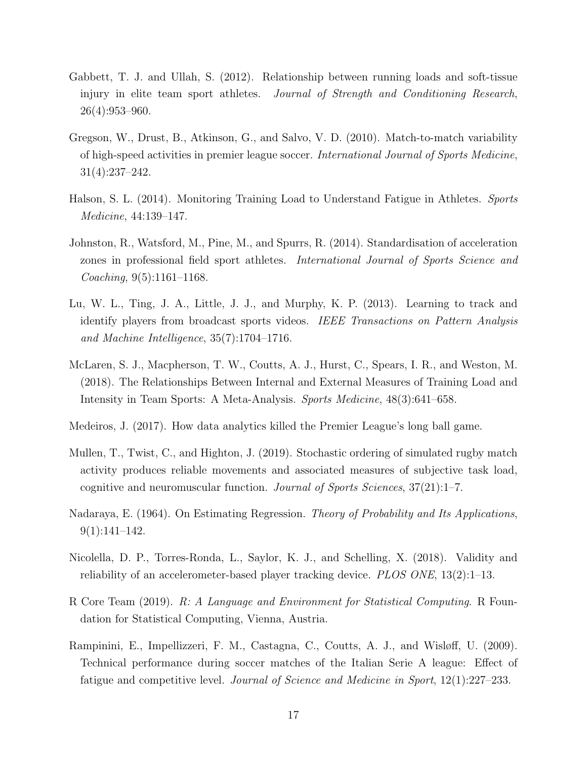- <span id="page-16-9"></span>Gabbett, T. J. and Ullah, S. (2012). Relationship between running loads and soft-tissue injury in elite team sport athletes. Journal of Strength and Conditioning Research, 26(4):953–960.
- <span id="page-16-5"></span>Gregson, W., Drust, B., Atkinson, G., and Salvo, V. D. (2010). Match-to-match variability of high-speed activities in premier league soccer. International Journal of Sports Medicine, 31(4):237–242.
- <span id="page-16-0"></span>Halson, S. L. (2014). Monitoring Training Load to Understand Fatigue in Athletes. Sports Medicine, 44:139–147.
- <span id="page-16-10"></span>Johnston, R., Watsford, M., Pine, M., and Spurrs, R. (2014). Standardisation of acceleration zones in professional field sport athletes. International Journal of Sports Science and Coaching, 9(5):1161–1168.
- <span id="page-16-7"></span>Lu, W. L., Ting, J. A., Little, J. J., and Murphy, K. P. (2013). Learning to track and identify players from broadcast sports videos. IEEE Transactions on Pattern Analysis and Machine Intelligence, 35(7):1704–1716.
- <span id="page-16-1"></span>McLaren, S. J., Macpherson, T. W., Coutts, A. J., Hurst, C., Spears, I. R., and Weston, M. (2018). The Relationships Between Internal and External Measures of Training Load and Intensity in Team Sports: A Meta-Analysis. Sports Medicine, 48(3):641–658.
- <span id="page-16-6"></span>Medeiros, J. (2017). How data analytics killed the Premier League's long ball game.
- <span id="page-16-4"></span>Mullen, T., Twist, C., and Highton, J. (2019). Stochastic ordering of simulated rugby match activity produces reliable movements and associated measures of subjective task load, cognitive and neuromuscular function. Journal of Sports Sciences, 37(21):1–7.
- <span id="page-16-8"></span>Nadaraya, E. (1964). On Estimating Regression. Theory of Probability and Its Applications,  $9(1):141-142.$
- <span id="page-16-3"></span>Nicolella, D. P., Torres-Ronda, L., Saylor, K. J., and Schelling, X. (2018). Validity and reliability of an accelerometer-based player tracking device. PLOS ONE, 13(2):1–13.
- <span id="page-16-11"></span>R Core Team (2019). R: A Language and Environment for Statistical Computing. R Foundation for Statistical Computing, Vienna, Austria.
- <span id="page-16-2"></span>Rampinini, E., Impellizzeri, F. M., Castagna, C., Coutts, A. J., and Wisløff, U. (2009). Technical performance during soccer matches of the Italian Serie A league: Effect of fatigue and competitive level. Journal of Science and Medicine in Sport, 12(1):227–233.